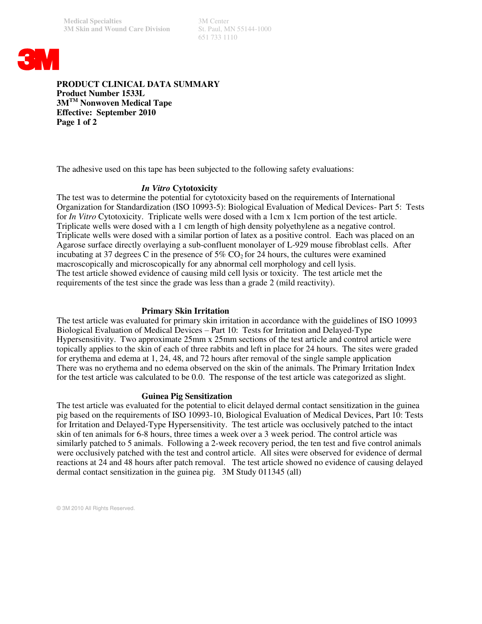651 733 1110



**PRODUCT CLINICAL DATA SUMMARY Product Number 1533L 3MTM Nonwoven Medical Tape Effective: September 2010 Page 1 of 2**

The adhesive used on this tape has been subjected to the following safety evaluations:

# *In Vitro* **Cytotoxicity**

The test was to determine the potential for cytotoxicity based on the requirements of International Organization for Standardization (ISO 10993-5): Biological Evaluation of Medical Devices- Part 5: Tests for *In Vitro* Cytotoxicity. Triplicate wells were dosed with a 1cm x 1cm portion of the test article. Triplicate wells were dosed with a 1 cm length of high density polyethylene as a negative control. Triplicate wells were dosed with a similar portion of latex as a positive control. Each was placed on an Agarose surface directly overlaying a sub-confluent monolayer of L-929 mouse fibroblast cells. After incubating at 37 degrees C in the presence of  $5\%$  CO<sub>2</sub> for 24 hours, the cultures were examined macroscopically and microscopically for any abnormal cell morphology and cell lysis. The test article showed evidence of causing mild cell lysis or toxicity. The test article met the requirements of the test since the grade was less than a grade 2 (mild reactivity).

## **Primary Skin Irritation**

The test article was evaluated for primary skin irritation in accordance with the guidelines of ISO 10993 Biological Evaluation of Medical Devices – Part 10: Tests for Irritation and Delayed-Type Hypersensitivity. Two approximate 25mm x 25mm sections of the test article and control article were topically applies to the skin of each of three rabbits and left in place for 24 hours. The sites were graded for erythema and edema at 1, 24, 48, and 72 hours after removal of the single sample application There was no erythema and no edema observed on the skin of the animals. The Primary Irritation Index for the test article was calculated to be 0.0. The response of the test article was categorized as slight.

## **Guinea Pig Sensitization**

The test article was evaluated for the potential to elicit delayed dermal contact sensitization in the guinea pig based on the requirements of ISO 10993-10, Biological Evaluation of Medical Devices, Part 10: Tests for Irritation and Delayed-Type Hypersensitivity. The test article was occlusively patched to the intact skin of ten animals for 6-8 hours, three times a week over a 3 week period. The control article was similarly patched to 5 animals. Following a 2-week recovery period, the ten test and five control animals were occlusively patched with the test and control article. All sites were observed for evidence of dermal reactions at 24 and 48 hours after patch removal. The test article showed no evidence of causing delayed dermal contact sensitization in the guinea pig. 3M Study 011345 (all)